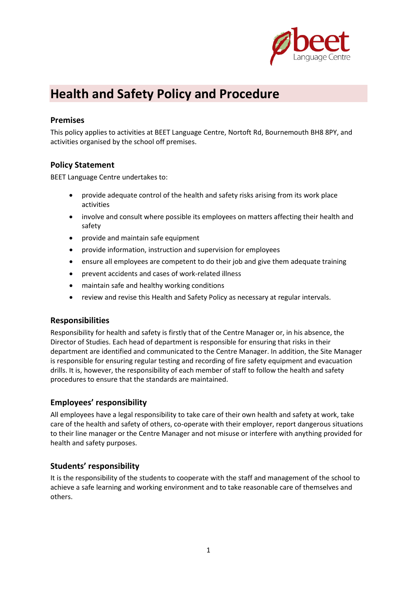

# **Health and Safety Policy and Procedure**

## **Premises**

This policy applies to activities at BEET Language Centre, Nortoft Rd, Bournemouth BH8 8PY, and activities organised by the school off premises.

#### **Policy Statement**

BEET Language Centre undertakes to:

- provide adequate control of the health and safety risks arising from its work place activities
- involve and consult where possible its employees on matters affecting their health and safety
- provide and maintain safe equipment
- provide information, instruction and supervision for employees
- ensure all employees are competent to do their job and give them adequate training
- prevent accidents and cases of work-related illness
- maintain safe and healthy working conditions
- review and revise this Health and Safety Policy as necessary at regular intervals.

#### **Responsibilities**

Responsibility for health and safety is firstly that of the Centre Manager or, in his absence, the Director of Studies. Each head of department is responsible for ensuring that risks in their department are identified and communicated to the Centre Manager. In addition, the Site Manager is responsible for ensuring regular testing and recording of fire safety equipment and evacuation drills. It is, however, the responsibility of each member of staff to follow the health and safety procedures to ensure that the standards are maintained.

#### **Employees' responsibility**

All employees have a legal responsibility to take care of their own health and safety at work, take care of the health and safety of others, co-operate with their employer, report dangerous situations to their line manager or the Centre Manager and not misuse or interfere with anything provided for health and safety purposes.

#### **Students' responsibility**

It is the responsibility of the students to cooperate with the staff and management of the school to achieve a safe learning and working environment and to take reasonable care of themselves and others.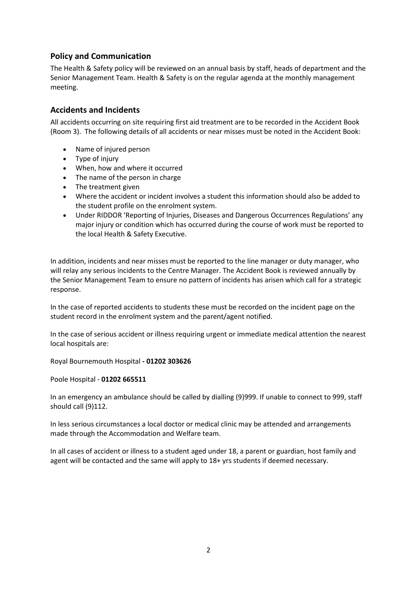## **Policy and Communication**

The Health & Safety policy will be reviewed on an annual basis by staff, heads of department and the Senior Management Team. Health & Safety is on the regular agenda at the monthly management meeting.

#### **Accidents and Incidents**

All accidents occurring on site requiring first aid treatment are to be recorded in the Accident Book (Room 3). The following details of all accidents or near misses must be noted in the Accident Book:

- Name of injured person
- Type of injury
- When, how and where it occurred
- The name of the person in charge
- The treatment given
- Where the accident or incident involves a student this information should also be added to the student profile on the enrolment system.
- Under RIDDOR 'Reporting of Injuries, Diseases and Dangerous Occurrences Regulations' any major injury or condition which has occurred during the course of work must be reported to the local Health & Safety Executive.

In addition, incidents and near misses must be reported to the line manager or duty manager, who will relay any serious incidents to the Centre Manager. The Accident Book is reviewed annually by the Senior Management Team to ensure no pattern of incidents has arisen which call for a strategic response.

In the case of reported accidents to students these must be recorded on the incident page on the student record in the enrolment system and the parent/agent notified.

In the case of serious accident or illness requiring urgent or immediate medical attention the nearest local hospitals are:

Royal Bournemouth Hospital **- 01202 303626**

Poole Hospital - **01202 665511**

In an emergency an ambulance should be called by dialling (9)999. If unable to connect to 999, staff should call (9)112.

In less serious circumstances a local doctor or medical clinic may be attended and arrangements made through the Accommodation and Welfare team.

In all cases of accident or illness to a student aged under 18, a parent or guardian, host family and agent will be contacted and the same will apply to 18+ yrs students if deemed necessary.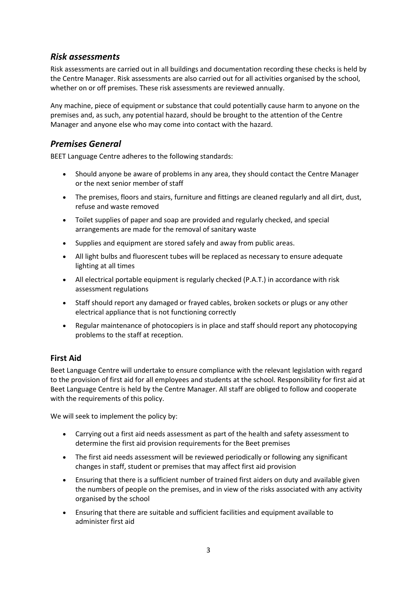# *Risk assessments*

Risk assessments are carried out in all buildings and documentation recording these checks is held by the Centre Manager. Risk assessments are also carried out for all activities organised by the school, whether on or off premises. These risk assessments are reviewed annually.

Any machine, piece of equipment or substance that could potentially cause harm to anyone on the premises and, as such, any potential hazard, should be brought to the attention of the Centre Manager and anyone else who may come into contact with the hazard.

# *Premises General*

BEET Language Centre adheres to the following standards:

- Should anyone be aware of problems in any area, they should contact the Centre Manager or the next senior member of staff
- The premises, floors and stairs, furniture and fittings are cleaned regularly and all dirt, dust, refuse and waste removed
- Toilet supplies of paper and soap are provided and regularly checked, and special arrangements are made for the removal of sanitary waste
- Supplies and equipment are stored safely and away from public areas.
- All light bulbs and fluorescent tubes will be replaced as necessary to ensure adequate lighting at all times
- All electrical portable equipment is regularly checked (P.A.T.) in accordance with risk assessment regulations
- Staff should report any damaged or frayed cables, broken sockets or plugs or any other electrical appliance that is not functioning correctly
- Regular maintenance of photocopiers is in place and staff should report any photocopying problems to the staff at reception.

## **First Aid**

Beet Language Centre will undertake to ensure compliance with the relevant legislation with regard to the provision of first aid for all employees and students at the school. Responsibility for first aid at Beet Language Centre is held by the Centre Manager. All staff are obliged to follow and cooperate with the requirements of this policy.

We will seek to implement the policy by:

- Carrying out a first aid needs assessment as part of the health and safety assessment to determine the first aid provision requirements for the Beet premises
- The first aid needs assessment will be reviewed periodically or following any significant changes in staff, student or premises that may affect first aid provision
- Ensuring that there is a sufficient number of trained first aiders on duty and available given the numbers of people on the premises, and in view of the risks associated with any activity organised by the school
- Ensuring that there are suitable and sufficient facilities and equipment available to administer first aid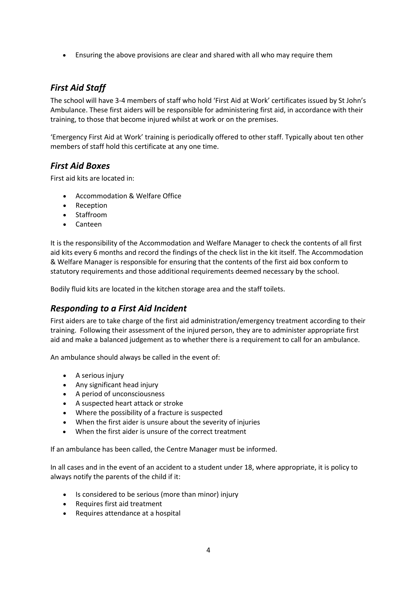• Ensuring the above provisions are clear and shared with all who may require them

# *First Aid Staff*

The school will have 3-4 members of staff who hold 'First Aid at Work' certificates issued by St John's Ambulance. These first aiders will be responsible for administering first aid, in accordance with their training, to those that become injured whilst at work or on the premises.

'Emergency First Aid at Work' training is periodically offered to other staff. Typically about ten other members of staff hold this certificate at any one time.

# *First Aid Boxes*

First aid kits are located in:

- Accommodation & Welfare Office
- Reception
- Staffroom
- Canteen

It is the responsibility of the Accommodation and Welfare Manager to check the contents of all first aid kits every 6 months and record the findings of the check list in the kit itself. The Accommodation & Welfare Manager is responsible for ensuring that the contents of the first aid box conform to statutory requirements and those additional requirements deemed necessary by the school.

Bodily fluid kits are located in the kitchen storage area and the staff toilets.

# *Responding to a First Aid Incident*

First aiders are to take charge of the first aid administration/emergency treatment according to their training. Following their assessment of the injured person, they are to administer appropriate first aid and make a balanced judgement as to whether there is a requirement to call for an ambulance.

An ambulance should always be called in the event of:

- A serious injury
- Any significant head injury
- A period of unconsciousness
- A suspected heart attack or stroke
- Where the possibility of a fracture is suspected
- When the first aider is unsure about the severity of injuries
- When the first aider is unsure of the correct treatment

If an ambulance has been called, the Centre Manager must be informed.

In all cases and in the event of an accident to a student under 18, where appropriate, it is policy to always notify the parents of the child if it:

- Is considered to be serious (more than minor) injury
- Requires first aid treatment
- Requires attendance at a hospital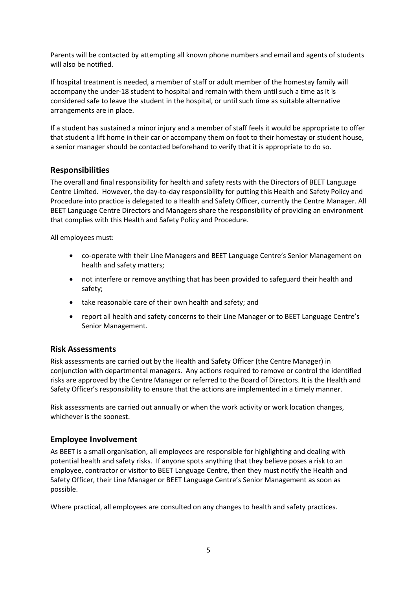Parents will be contacted by attempting all known phone numbers and email and agents of students will also be notified.

If hospital treatment is needed, a member of staff or adult member of the homestay family will accompany the under-18 student to hospital and remain with them until such a time as it is considered safe to leave the student in the hospital, or until such time as suitable alternative arrangements are in place.

If a student has sustained a minor injury and a member of staff feels it would be appropriate to offer that student a lift home in their car or accompany them on foot to their homestay or student house, a senior manager should be contacted beforehand to verify that it is appropriate to do so.

#### **Responsibilities**

The overall and final responsibility for health and safety rests with the Directors of BEET Language Centre Limited. However, the day-to-day responsibility for putting this Health and Safety Policy and Procedure into practice is delegated to a Health and Safety Officer, currently the Centre Manager. All BEET Language Centre Directors and Managers share the responsibility of providing an environment that complies with this Health and Safety Policy and Procedure.

All employees must:

- co-operate with their Line Managers and BEET Language Centre's Senior Management on health and safety matters;
- not interfere or remove anything that has been provided to safeguard their health and safety;
- take reasonable care of their own health and safety; and
- report all health and safety concerns to their Line Manager or to BEET Language Centre's Senior Management.

## **Risk Assessments**

Risk assessments are carried out by the Health and Safety Officer (the Centre Manager) in conjunction with departmental managers. Any actions required to remove or control the identified risks are approved by the Centre Manager or referred to the Board of Directors. It is the Health and Safety Officer's responsibility to ensure that the actions are implemented in a timely manner.

Risk assessments are carried out annually or when the work activity or work location changes, whichever is the soonest.

#### **Employee Involvement**

As BEET is a small organisation, all employees are responsible for highlighting and dealing with potential health and safety risks. If anyone spots anything that they believe poses a risk to an employee, contractor or visitor to BEET Language Centre, then they must notify the Health and Safety Officer, their Line Manager or BEET Language Centre's Senior Management as soon as possible.

Where practical, all employees are consulted on any changes to health and safety practices.